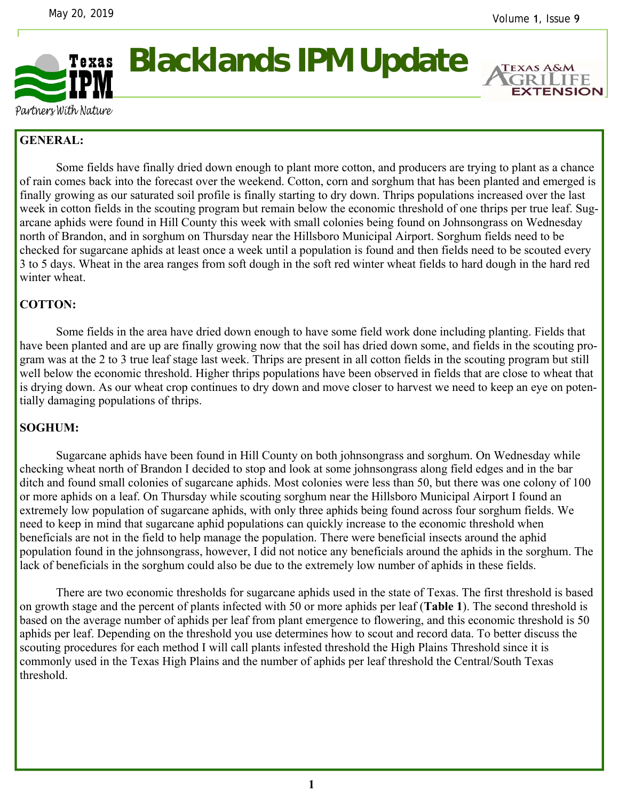

**Blacklands IPM Update** 

**EXTENSION** 

Partners With Nature

## **GENERAL:**

 Some fields have finally dried down enough to plant more cotton, and producers are trying to plant as a chance of rain comes back into the forecast over the weekend. Cotton, corn and sorghum that has been planted and emerged is finally growing as our saturated soil profile is finally starting to dry down. Thrips populations increased over the last week in cotton fields in the scouting program but remain below the economic threshold of one thrips per true leaf. Sugarcane aphids were found in Hill County this week with small colonies being found on Johnsongrass on Wednesday north of Brandon, and in sorghum on Thursday near the Hillsboro Municipal Airport. Sorghum fields need to be checked for sugarcane aphids at least once a week until a population is found and then fields need to be scouted every 3 to 5 days. Wheat in the area ranges from soft dough in the soft red winter wheat fields to hard dough in the hard red winter wheat.

## **COTTON:**

Some fields in the area have dried down enough to have some field work done including planting. Fields that have been planted and are up are finally growing now that the soil has dried down some, and fields in the scouting program was at the 2 to 3 true leaf stage last week. Thrips are present in all cotton fields in the scouting program but still well below the economic threshold. Higher thrips populations have been observed in fields that are close to wheat that is drying down. As our wheat crop continues to dry down and move closer to harvest we need to keep an eye on potentially damaging populations of thrips.

## **SOGHUM:**

 Sugarcane aphids have been found in Hill County on both johnsongrass and sorghum. On Wednesday while checking wheat north of Brandon I decided to stop and look at some johnsongrass along field edges and in the bar ditch and found small colonies of sugarcane aphids. Most colonies were less than 50, but there was one colony of 100 or more aphids on a leaf. On Thursday while scouting sorghum near the Hillsboro Municipal Airport I found an extremely low population of sugarcane aphids, with only three aphids being found across four sorghum fields. We need to keep in mind that sugarcane aphid populations can quickly increase to the economic threshold when beneficials are not in the field to help manage the population. There were beneficial insects around the aphid population found in the johnsongrass, however, I did not notice any beneficials around the aphids in the sorghum. The lack of beneficials in the sorghum could also be due to the extremely low number of aphids in these fields.

 There are two economic thresholds for sugarcane aphids used in the state of Texas. The first threshold is based on growth stage and the percent of plants infected with 50 or more aphids per leaf (**Table 1**). The second threshold is based on the average number of aphids per leaf from plant emergence to flowering, and this economic threshold is 50 aphids per leaf. Depending on the threshold you use determines how to scout and record data. To better discuss the scouting procedures for each method I will call plants infested threshold the High Plains Threshold since it is commonly used in the Texas High Plains and the number of aphids per leaf threshold the Central/South Texas threshold.